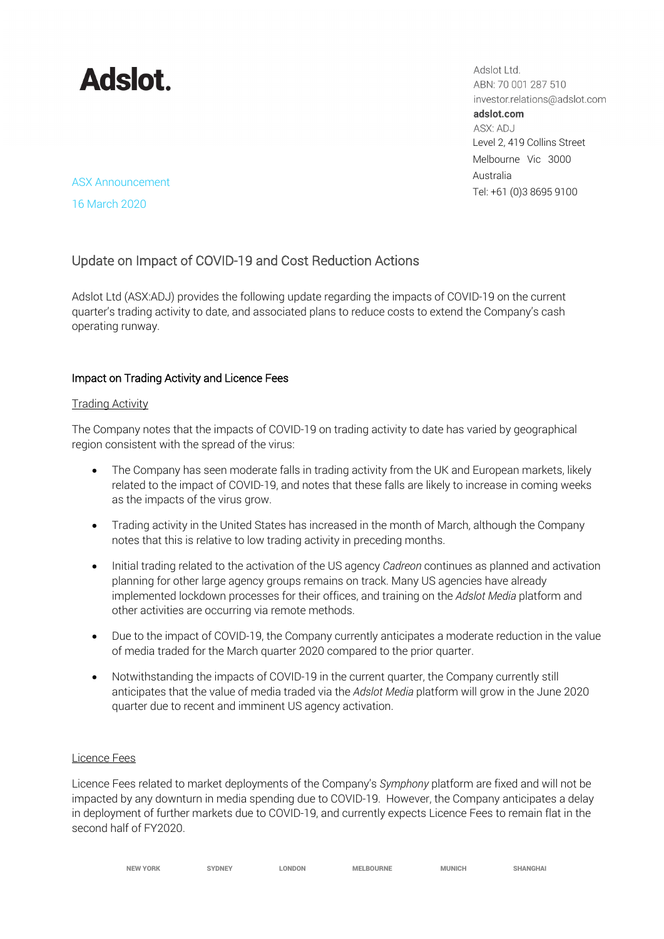# **Adslot**

Adslot Ltd. ABN: 70 001 287 510 investor.relations@adslot.com adslot.com ASX: ADJ Level 2, 419 Collins Street Melbourne Vic 3000 Australia Tel: +61 (0)3 8695 9100

## ASX Announcement

16 March 2020

### Update on Impact of COVID-19 and Cost Reduction Actions

Adslot Ltd (ASX:ADJ) provides the following update regarding the impacts of COVID-19 on the current quarter's trading activity to date, and associated plans to reduce costs to extend the Company's cash operating runway.

### Impact on Trading Activity and Licence Fees

### Trading Activity

The Company notes that the impacts of COVID-19 on trading activity to date has varied by geographical region consistent with the spread of the virus:

- The Company has seen moderate falls in trading activity from the UK and European markets, likely related to the impact of COVID-19, and notes that these falls are likely to increase in coming weeks as the impacts of the virus grow.
- Trading activity in the United States has increased in the month of March, although the Company notes that this is relative to low trading activity in preceding months.
- Initial trading related to the activation of the US agency *Cadreon* continues as planned and activation planning for other large agency groups remains on track. Many US agencies have already implemented lockdown processes for their offices, and training on the *Adslot Media* platform and other activities are occurring via remote methods.
- Due to the impact of COVID-19, the Company currently anticipates a moderate reduction in the value of media traded for the March quarter 2020 compared to the prior quarter.
- Notwithstanding the impacts of COVID-19 in the current quarter, the Company currently still anticipates that the value of media traded via the *Adslot Media* platform will grow in the June 2020 quarter due to recent and imminent US agency activation.

### Licence Fees

Licence Fees related to market deployments of the Company's *Symphony* platform are fixed and will not be impacted by any downturn in media spending due to COVID-19. However, the Company anticipates a delay in deployment of further markets due to COVID-19, and currently expects Licence Fees to remain flat in the second half of FY2020.

| <b>NEW YORK</b> | <b>SYDNEY</b> | LONDON | <b>MELBOURNE</b> | MUNICH | <b>SHANGHAI</b> |
|-----------------|---------------|--------|------------------|--------|-----------------|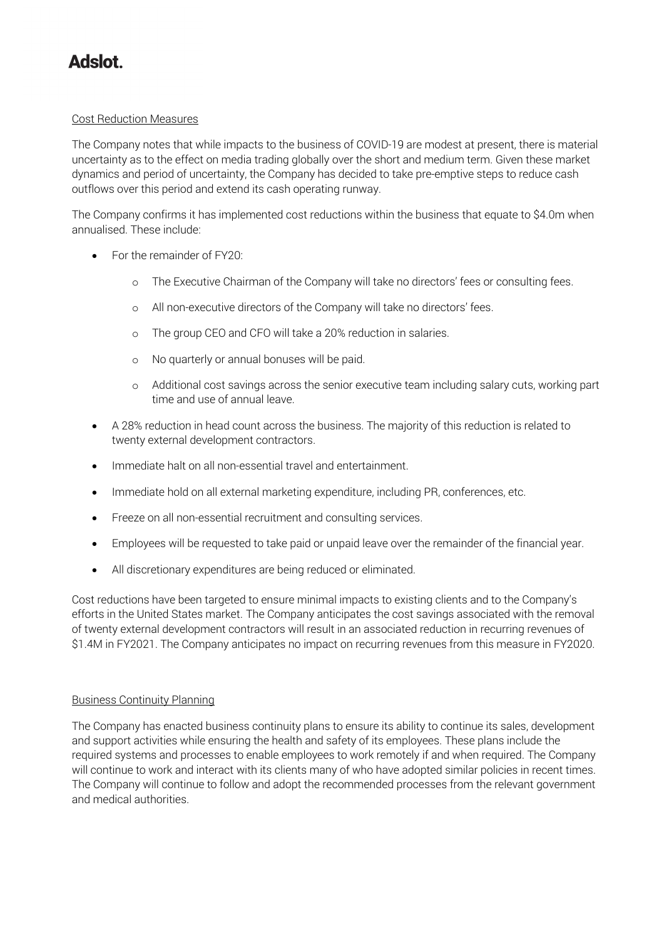### **Adslot**

### Cost Reduction Measures

The Company notes that while impacts to the business of COVID-19 are modest at present, there is material uncertainty as to the effect on media trading globally over the short and medium term. Given these market dynamics and period of uncertainty, the Company has decided to take pre-emptive steps to reduce cash outflows over this period and extend its cash operating runway.

The Company confirms it has implemented cost reductions within the business that equate to \$4.0m when annualised. These include:

- For the remainder of FY20:
	- o The Executive Chairman of the Company will take no directors' fees or consulting fees.
	- o All non-executive directors of the Company will take no directors' fees.
	- o The group CEO and CFO will take a 20% reduction in salaries.
	- o No quarterly or annual bonuses will be paid.
	- o Additional cost savings across the senior executive team including salary cuts, working part time and use of annual leave.
- A 28% reduction in head count across the business. The majority of this reduction is related to twenty external development contractors.
- Immediate halt on all non-essential travel and entertainment.
- Immediate hold on all external marketing expenditure, including PR, conferences, etc.
- Freeze on all non-essential recruitment and consulting services.
- Employees will be requested to take paid or unpaid leave over the remainder of the financial year.
- All discretionary expenditures are being reduced or eliminated.

Cost reductions have been targeted to ensure minimal impacts to existing clients and to the Company's efforts in the United States market. The Company anticipates the cost savings associated with the removal of twenty external development contractors will result in an associated reduction in recurring revenues of \$1.4M in FY2021. The Company anticipates no impact on recurring revenues from this measure in FY2020.

### Business Continuity Planning

The Company has enacted business continuity plans to ensure its ability to continue its sales, development and support activities while ensuring the health and safety of its employees. These plans include the required systems and processes to enable employees to work remotely if and when required. The Company will continue to work and interact with its clients many of who have adopted similar policies in recent times. The Company will continue to follow and adopt the recommended processes from the relevant government and medical authorities.